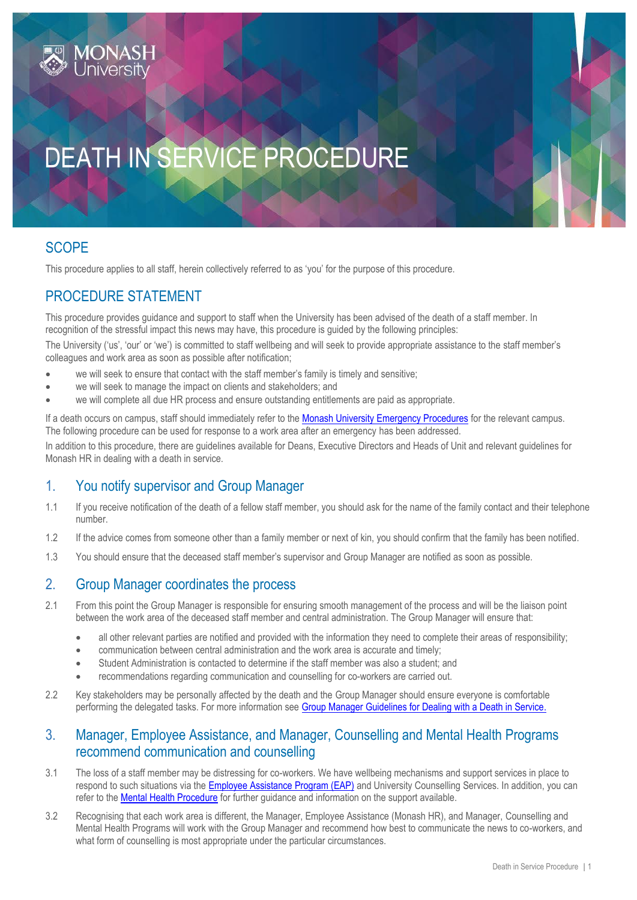

# DEATH IN SERVICE PROCEDURE

## **SCOPE**

This procedure applies to all staff, herein collectively referred to as 'you' for the purpose of this procedure.

## PROCEDURE STATEMENT

This procedure provides guidance and support to staff when the University has been advised of the death of a staff member. In recognition of the stressful impact this news may have, this procedure is guided by the following principles:

The University ('us', 'our' or 'we') is committed to staff wellbeing and will seek to provide appropriate assistance to the staff member's colleagues and work area as soon as possible after notification;

- we will seek to ensure that contact with the staff member's family is timely and sensitive;
- we will seek to manage the impact on clients and stakeholders; and
- we will complete all due HR process and ensure outstanding entitlements are paid as appropriate.

If a death occurs on campus, staff should immediately refer to the [Monash University Emergency Procedures](https://www.monash.edu/ohs/info-docs/safety-topics/emergency-and-fire-safety) for the relevant campus. The following procedure can be used for response to a work area after an emergency has been addressed.

In addition to this procedure, there are guidelines available for Deans, Executive Directors and Heads of Unit and relevant guidelines for Monash HR in dealing with a death in service.

#### 1. You notify supervisor and Group Manager

- 1.1 If you receive notification of the death of a fellow staff member, you should ask for the name of the family contact and their telephone number.
- 1.2 If the advice comes from someone other than a family member or next of kin, you should confirm that the family has been notified.
- 1.3 You should ensure that the deceased staff member's supervisor and Group Manager are notified as soon as possible.

#### 2. Group Manager coordinates the process

- 2.1 From this point the Group Manager is responsible for ensuring smooth management of the process and will be the liaison point between the work area of the deceased staff member and central administration. The Group Manager will ensure that:
	- all other relevant parties are notified and provided with the information they need to complete their areas of responsibility;
	- communication between central administration and the work area is accurate and timely;
	- Student Administration is contacted to determine if the staff member was also a student; and
	- recommendations regarding communication and counselling for co-workers are carried out.
- 2.2 Key stakeholders may be personally affected by the death and the Group Manager should ensure everyone is comfortable performing the delegated tasks. For more information see Group Manager [Guidelines for Dealing with a Death in Service.](https://sites.google.com/a/monash.edu/processes-and-templates/home/employment-conditions/death-in-service/hr-service-hub-guidelines-for-dealing-with-a-death-in-service)

#### 3. Manager, Employee Assistance, and Manager, Counselling and Mental Health Programs recommend communication and counselling

- 3.1 The loss of a staff member may be distressing for co-workers. We have wellbeing mechanisms and support services in place to respond to such situations via the [Employee Assistance Program \(EAP\)](https://www.intranet.monash/hr/home/featured-items/row-2/featured-jobs/employee-assistance-program) and University Counselling Services. In addition, you can refer to the [Mental Health Procedure](https://publicpolicydms.monash.edu/Monash/documents/1942903) for further guidance and information on the support available.
- 3.2 Recognising that each work area is different, the Manager, Employee Assistance (Monash HR), and Manager, Counselling and Mental Health Programs will work with the Group Manager and recommend how best to communicate the news to co-workers, and what form of counselling is most appropriate under the particular circumstances.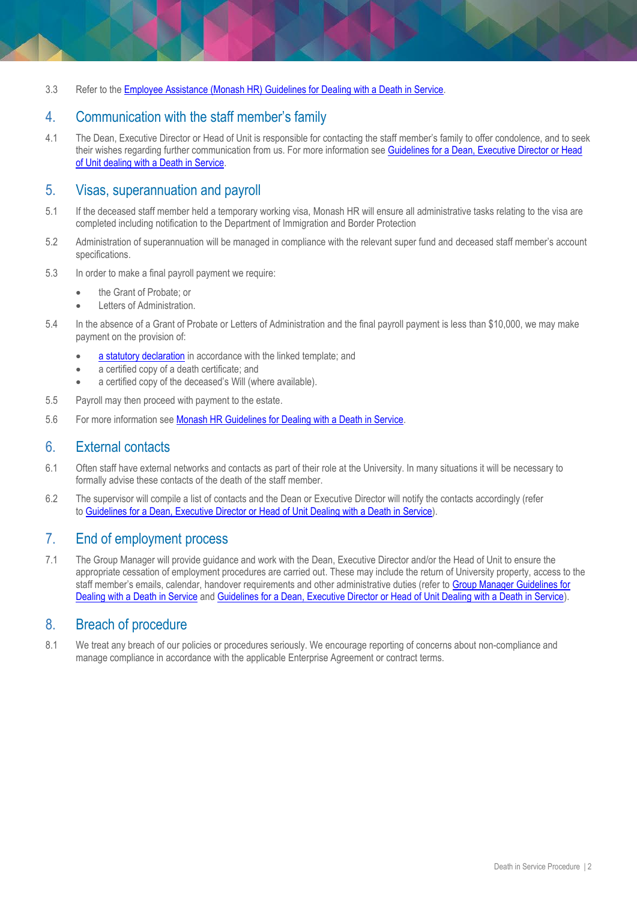3.3 Refer to the [Employee Assistance \(Monash HR\) Guidelines for Dealing with a Death in Service.](https://sites.google.com/a/monash.edu/processes-and-templates/home/employment-conditions/death-in-service/employee-assistance-monash-hr-guidelines-for-dealing-with-a-death-in-service)

### 4. Communication with the staff member's family

4.1 The Dean, Executive Director or Head of Unit is responsible for contacting the staff member's family to offer condolence, and to seek their wishes regarding further communication from us. For more information see Guidelines for a Dean, Executive Director or Head [of Unit dealing with a Death in Service.](https://www.monash.edu/__data/assets/pdf_file/0005/1539536/Guidelines-for-Dean-HOU-and-ED.pdf)

#### 5. Visas, superannuation and payroll

- 5.1 If the deceased staff member held a temporary working visa, Monash HR will ensure all administrative tasks relating to the visa are completed including notification to the Department of Immigration and Border Protection
- 5.2 Administration of superannuation will be managed in compliance with the relevant super fund and deceased staff member's account specifications.
- 5.3 In order to make a final payroll payment we require:
	- the Grant of Probate; or
	- Letters of Administration.
- 5.4 In the absence of a Grant of Probate or Letters of Administration and the final payroll payment is less than \$10,000, we may make payment on the provision of:
	- [a statutory declaration](https://www.monash.edu/__data/assets/word_doc/0009/1502739/Statutory-Declaration-Template.doc) in accordance with the linked template; and
	- a certified copy of a death certificate; and
	- a certified copy of the deceased's Will (where available).
- 5.5 Payroll may then proceed with payment to the estate.
- 5.6 For more information see [Monash HR Guidelines for Dealing with a Death in Service.](https://sites.google.com/a/monash.edu/processes-and-templates/home/employment-conditions/death-in-service/hr-service-hub-guidelines-for-dealing-with-a-death-in-service-1)

#### 6. External contacts

- 6.1 Often staff have external networks and contacts as part of their role at the University. In many situations it will be necessary to formally advise these contacts of the death of the staff member.
- 6.2 The supervisor will compile a list of contacts and the Dean or Executive Director will notify the contacts accordingly (refer to [Guidelines for a Dean, Executive Director or Head of Unit Dealing with a Death in Service\)](https://www.monash.edu/__data/assets/pdf_file/0005/1539536/Guidelines-for-Dean-HOU-and-ED.pdf).

#### 7. End of employment process

7.1 The Group Manager will provide guidance and work with the Dean, Executive Director and/or the Head of Unit to ensure the appropriate cessation of employment procedures are carried out. These may include the return of University property, access to the staff member's emails, calendar, handover requirements and other administrative duties (refer to [Group Manager](https://sites.google.com/a/monash.edu/processes-and-templates/home/employment-conditions/death-in-service/hr-service-hub-guidelines-for-dealing-with-a-death-in-service) Guidelines for [Dealing with a Death in Service](https://sites.google.com/a/monash.edu/processes-and-templates/home/employment-conditions/death-in-service/hr-service-hub-guidelines-for-dealing-with-a-death-in-service) and [Guidelines for a Dean, Executive Director or Head of Unit Dealing with a Death in Service\)](https://www.monash.edu/__data/assets/pdf_file/0005/1539536/Guidelines-for-Dean-HOU-and-ED.pdf).

#### 8. Breach of procedure

8.1 We treat any breach of our policies or procedures seriously. We encourage reporting of concerns about non-compliance and manage compliance in accordance with the applicable Enterprise Agreement or contract terms.